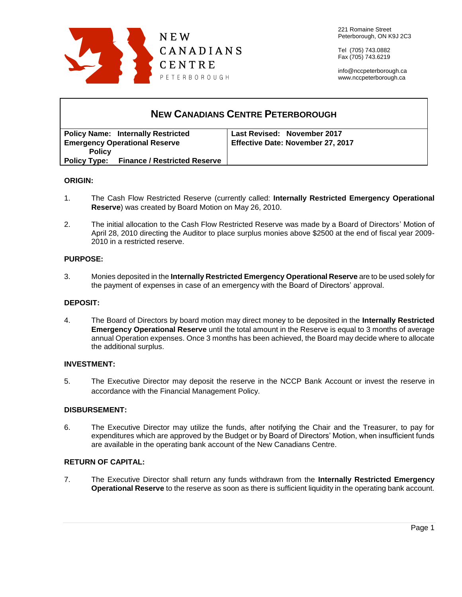

Tel (705) 743.0882 Fax (705) 743.6219

info@nccpeterborough.ca www.nccpeterborough.ca

| <b>NEW CANADIANS CENTRE PETERBOROUGH</b>         |                                   |
|--------------------------------------------------|-----------------------------------|
| <b>Policy Name: Internally Restricted</b>        | Last Revised: November 2017       |
| <b>Emergency Operational Reserve</b>             | Effective Date: November 27, 2017 |
| <b>Policy</b>                                    |                                   |
| <b>Policy Type: Finance / Restricted Reserve</b> |                                   |

## **ORIGIN:**

- 1. The Cash Flow Restricted Reserve (currently called: **Internally Restricted Emergency Operational Reserve**) was created by Board Motion on May 26, 2010.
- 2. The initial allocation to the Cash Flow Restricted Reserve was made by a Board of Directors' Motion of April 28, 2010 directing the Auditor to place surplus monies above \$2500 at the end of fiscal year 2009- 2010 in a restricted reserve.

# **PURPOSE:**

3. Monies deposited in the **Internally Restricted Emergency Operational Reserve** are to be used solely for the payment of expenses in case of an emergency with the Board of Directors' approval.

## **DEPOSIT:**

4. The Board of Directors by board motion may direct money to be deposited in the **Internally Restricted Emergency Operational Reserve** until the total amount in the Reserve is equal to 3 months of average annual Operation expenses. Once 3 months has been achieved, the Board may decide where to allocate the additional surplus.

## **INVESTMENT:**

5. The Executive Director may deposit the reserve in the NCCP Bank Account or invest the reserve in accordance with the Financial Management Policy.

## **DISBURSEMENT:**

6. The Executive Director may utilize the funds, after notifying the Chair and the Treasurer, to pay for expenditures which are approved by the Budget or by Board of Directors' Motion, when insufficient funds are available in the operating bank account of the New Canadians Centre.

## **RETURN OF CAPITAL:**

7. The Executive Director shall return any funds withdrawn from the **Internally Restricted Emergency Operational Reserve** to the reserve as soon as there is sufficient liquidity in the operating bank account.